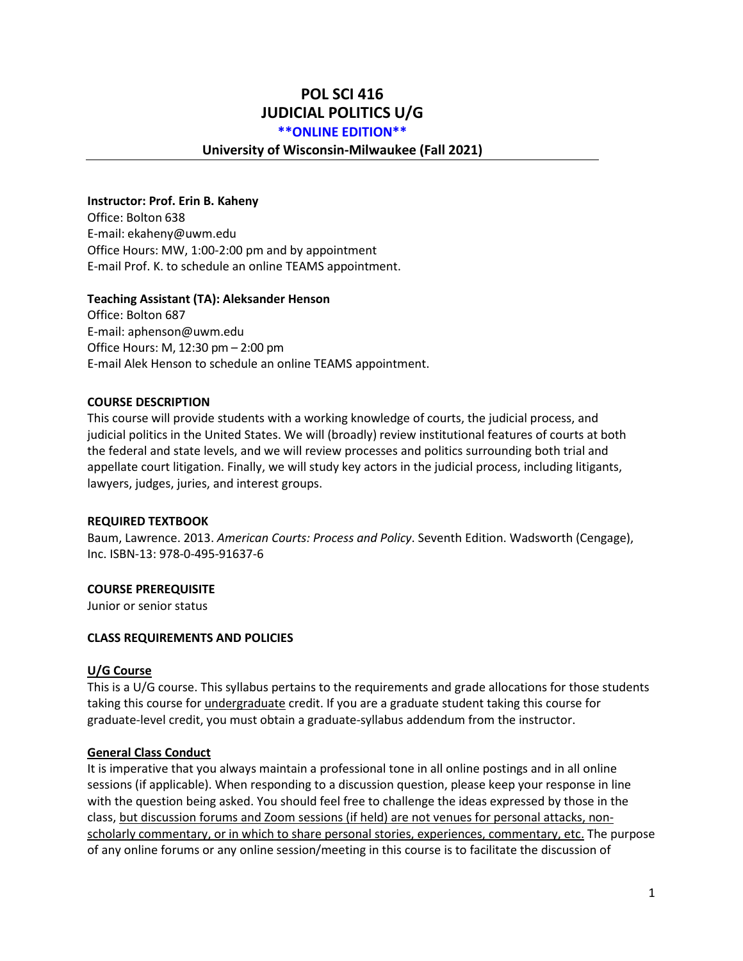# **POL SCI 416 JUDICIAL POLITICS U/G**

#### **\*\*ONLINE EDITION\*\***

#### **University of Wisconsin-Milwaukee (Fall 2021)**

#### **Instructor: Prof. Erin B. Kaheny**

Office: Bolton 638 E-mail: [ekaheny@uwm.edu](mailto:ekaheny@uwm.edu) Office Hours: MW, 1:00-2:00 pm and by appointment E-mail Prof. K. to schedule an online TEAMS appointment.

#### **Teaching Assistant (TA): Aleksander Henson**

Office: Bolton 687 E-mail: aphenson@uwm.edu Office Hours: M, 12:30 pm – 2:00 pm E-mail Alek Henson to schedule an online TEAMS appointment.

#### **COURSE DESCRIPTION**

This course will provide students with a working knowledge of courts, the judicial process, and judicial politics in the United States. We will (broadly) review institutional features of courts at both the federal and state levels, and we will review processes and politics surrounding both trial and appellate court litigation. Finally, we will study key actors in the judicial process, including litigants, lawyers, judges, juries, and interest groups.

#### **REQUIRED TEXTBOOK**

Baum, Lawrence. 2013. *American Courts: Process and Policy*. Seventh Edition. Wadsworth (Cengage), Inc. ISBN-13: 978-0-495-91637-6

#### **COURSE PREREQUISITE**

Junior or senior status

#### **CLASS REQUIREMENTS AND POLICIES**

#### **U/G Course**

This is a U/G course. This syllabus pertains to the requirements and grade allocations for those students taking this course for undergraduate credit. If you are a graduate student taking this course for graduate-level credit, you must obtain a graduate-syllabus addendum from the instructor.

#### **General Class Conduct**

It is imperative that you always maintain a professional tone in all online postings and in all online sessions (if applicable). When responding to a discussion question, please keep your response in line with the question being asked. You should feel free to challenge the ideas expressed by those in the class, but discussion forums and Zoom sessions (if held) are not venues for personal attacks, nonscholarly commentary, or in which to share personal stories, experiences, commentary, etc. The purpose of any online forums or any online session/meeting in this course is to facilitate the discussion of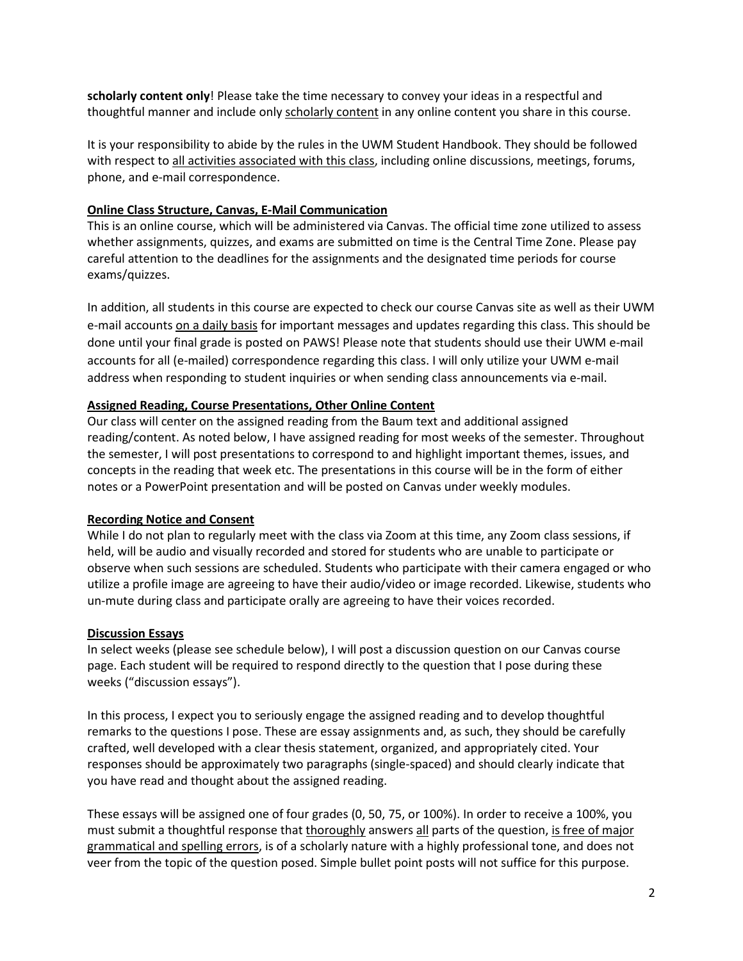**scholarly content only**! Please take the time necessary to convey your ideas in a respectful and thoughtful manner and include only scholarly content in any online content you share in this course.

It is your responsibility to abide by the rules in the UWM Student Handbook. They should be followed with respect to all activities associated with this class, including online discussions, meetings, forums, phone, and e-mail correspondence.

### **Online Class Structure, Canvas, E-Mail Communication**

This is an online course, which will be administered via Canvas. The official time zone utilized to assess whether assignments, quizzes, and exams are submitted on time is the Central Time Zone. Please pay careful attention to the deadlines for the assignments and the designated time periods for course exams/quizzes.

In addition, all students in this course are expected to check our course Canvas site as well as their UWM e-mail accounts on a daily basis for important messages and updates regarding this class. This should be done until your final grade is posted on PAWS! Please note that students should use their UWM e-mail accounts for all (e-mailed) correspondence regarding this class. I will only utilize your UWM e-mail address when responding to student inquiries or when sending class announcements via e-mail.

### **Assigned Reading, Course Presentations, Other Online Content**

Our class will center on the assigned reading from the Baum text and additional assigned reading/content. As noted below, I have assigned reading for most weeks of the semester. Throughout the semester, I will post presentations to correspond to and highlight important themes, issues, and concepts in the reading that week etc. The presentations in this course will be in the form of either notes or a PowerPoint presentation and will be posted on Canvas under weekly modules.

### **Recording Notice and Consent**

While I do not plan to regularly meet with the class via Zoom at this time, any Zoom class sessions, if held, will be audio and visually recorded and stored for students who are unable to participate or observe when such sessions are scheduled. Students who participate with their camera engaged or who utilize a profile image are agreeing to have their audio/video or image recorded. Likewise, students who un-mute during class and participate orally are agreeing to have their voices recorded.

### **Discussion Essays**

In select weeks (please see schedule below), I will post a discussion question on our Canvas course page. Each student will be required to respond directly to the question that I pose during these weeks ("discussion essays").

In this process, I expect you to seriously engage the assigned reading and to develop thoughtful remarks to the questions I pose. These are essay assignments and, as such, they should be carefully crafted, well developed with a clear thesis statement, organized, and appropriately cited. Your responses should be approximately two paragraphs (single-spaced) and should clearly indicate that you have read and thought about the assigned reading.

These essays will be assigned one of four grades (0, 50, 75, or 100%). In order to receive a 100%, you must submit a thoughtful response that thoroughly answers all parts of the question, is free of major grammatical and spelling errors, is of a scholarly nature with a highly professional tone, and does not veer from the topic of the question posed. Simple bullet point posts will not suffice for this purpose.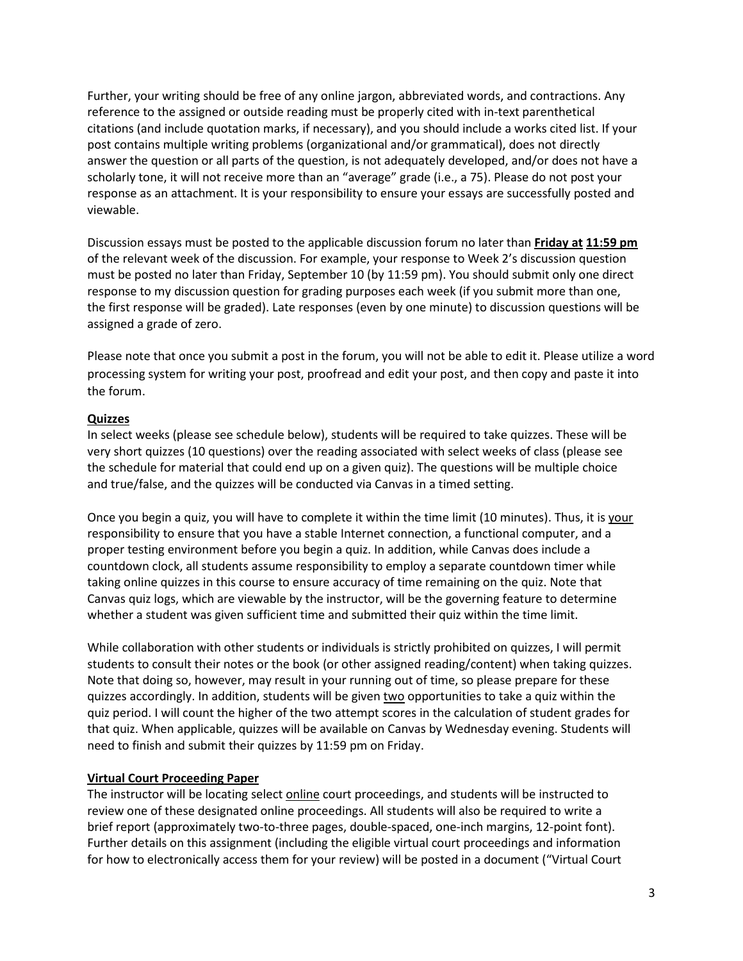Further, your writing should be free of any online jargon, abbreviated words, and contractions. Any reference to the assigned or outside reading must be properly cited with in-text parenthetical citations (and include quotation marks, if necessary), and you should include a works cited list. If your post contains multiple writing problems (organizational and/or grammatical), does not directly answer the question or all parts of the question, is not adequately developed, and/or does not have a scholarly tone, it will not receive more than an "average" grade (i.e., a 75). Please do not post your response as an attachment. It is your responsibility to ensure your essays are successfully posted and viewable.

Discussion essays must be posted to the applicable discussion forum no later than **Friday at 11:59 pm** of the relevant week of the discussion. For example, your response to Week 2's discussion question must be posted no later than Friday, September 10 (by 11:59 pm). You should submit only one direct response to my discussion question for grading purposes each week (if you submit more than one, the first response will be graded). Late responses (even by one minute) to discussion questions will be assigned a grade of zero.

Please note that once you submit a post in the forum, you will not be able to edit it. Please utilize a word processing system for writing your post, proofread and edit your post, and then copy and paste it into the forum.

### **Quizzes**

In select weeks (please see schedule below), students will be required to take quizzes. These will be very short quizzes (10 questions) over the reading associated with select weeks of class (please see the schedule for material that could end up on a given quiz). The questions will be multiple choice and true/false, and the quizzes will be conducted via Canvas in a timed setting.

Once you begin a quiz, you will have to complete it within the time limit (10 minutes). Thus, it is your responsibility to ensure that you have a stable Internet connection, a functional computer, and a proper testing environment before you begin a quiz. In addition, while Canvas does include a countdown clock, all students assume responsibility to employ a separate countdown timer while taking online quizzes in this course to ensure accuracy of time remaining on the quiz. Note that Canvas quiz logs, which are viewable by the instructor, will be the governing feature to determine whether a student was given sufficient time and submitted their quiz within the time limit.

While collaboration with other students or individuals is strictly prohibited on quizzes, I will permit students to consult their notes or the book (or other assigned reading/content) when taking quizzes. Note that doing so, however, may result in your running out of time, so please prepare for these quizzes accordingly. In addition, students will be given two opportunities to take a quiz within the quiz period. I will count the higher of the two attempt scores in the calculation of student grades for that quiz. When applicable, quizzes will be available on Canvas by Wednesday evening. Students will need to finish and submit their quizzes by 11:59 pm on Friday.

### **Virtual Court Proceeding Paper**

The instructor will be locating select online court proceedings, and students will be instructed to review one of these designated online proceedings. All students will also be required to write a brief report (approximately two-to-three pages, double-spaced, one-inch margins, 12-point font). Further details on this assignment (including the eligible virtual court proceedings and information for how to electronically access them for your review) will be posted in a document ("Virtual Court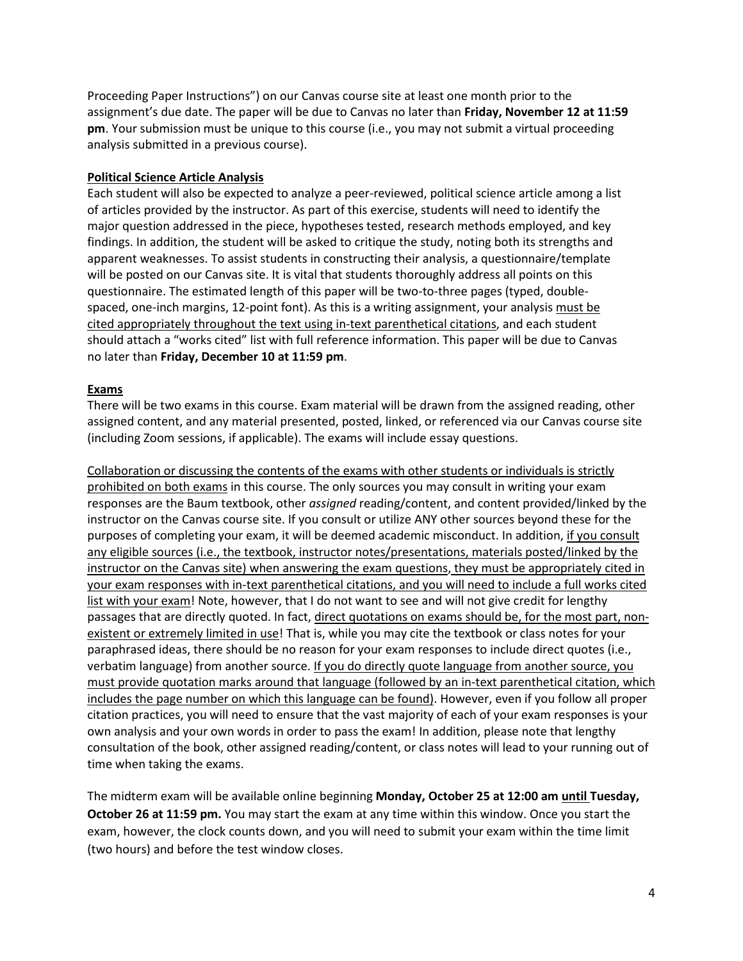Proceeding Paper Instructions") on our Canvas course site at least one month prior to the assignment's due date. The paper will be due to Canvas no later than **Friday, November 12 at 11:59 pm**. Your submission must be unique to this course (i.e., you may not submit a virtual proceeding analysis submitted in a previous course).

### **Political Science Article Analysis**

Each student will also be expected to analyze a peer-reviewed, political science article among a list of articles provided by the instructor. As part of this exercise, students will need to identify the major question addressed in the piece, hypotheses tested, research methods employed, and key findings. In addition, the student will be asked to critique the study, noting both its strengths and apparent weaknesses. To assist students in constructing their analysis, a questionnaire/template will be posted on our Canvas site. It is vital that students thoroughly address all points on this questionnaire. The estimated length of this paper will be two-to-three pages (typed, doublespaced, one-inch margins, 12-point font). As this is a writing assignment, your analysis must be cited appropriately throughout the text using in-text parenthetical citations, and each student should attach a "works cited" list with full reference information. This paper will be due to Canvas no later than **Friday, December 10 at 11:59 pm**.

### **Exams**

There will be two exams in this course. Exam material will be drawn from the assigned reading, other assigned content, and any material presented, posted, linked, or referenced via our Canvas course site (including Zoom sessions, if applicable). The exams will include essay questions.

Collaboration or discussing the contents of the exams with other students or individuals is strictly prohibited on both exams in this course. The only sources you may consult in writing your exam responses are the Baum textbook, other *assigned* reading/content, and content provided/linked by the instructor on the Canvas course site. If you consult or utilize ANY other sources beyond these for the purposes of completing your exam, it will be deemed academic misconduct. In addition, if you consult any eligible sources (i.e., the textbook, instructor notes/presentations, materials posted/linked by the instructor on the Canvas site) when answering the exam questions, they must be appropriately cited in your exam responses with in-text parenthetical citations, and you will need to include a full works cited list with your exam! Note, however, that I do not want to see and will not give credit for lengthy passages that are directly quoted. In fact, direct quotations on exams should be, for the most part, nonexistent or extremely limited in use! That is, while you may cite the textbook or class notes for your paraphrased ideas, there should be no reason for your exam responses to include direct quotes (i.e., verbatim language) from another source. If you do directly quote language from another source, you must provide quotation marks around that language (followed by an in-text parenthetical citation, which includes the page number on which this language can be found). However, even if you follow all proper citation practices, you will need to ensure that the vast majority of each of your exam responses is your own analysis and your own words in order to pass the exam! In addition, please note that lengthy consultation of the book, other assigned reading/content, or class notes will lead to your running out of time when taking the exams.

The midterm exam will be available online beginning **Monday, October 25 at 12:00 am until Tuesday, October 26 at 11:59 pm.** You may start the exam at any time within this window. Once you start the exam, however, the clock counts down, and you will need to submit your exam within the time limit (two hours) and before the test window closes.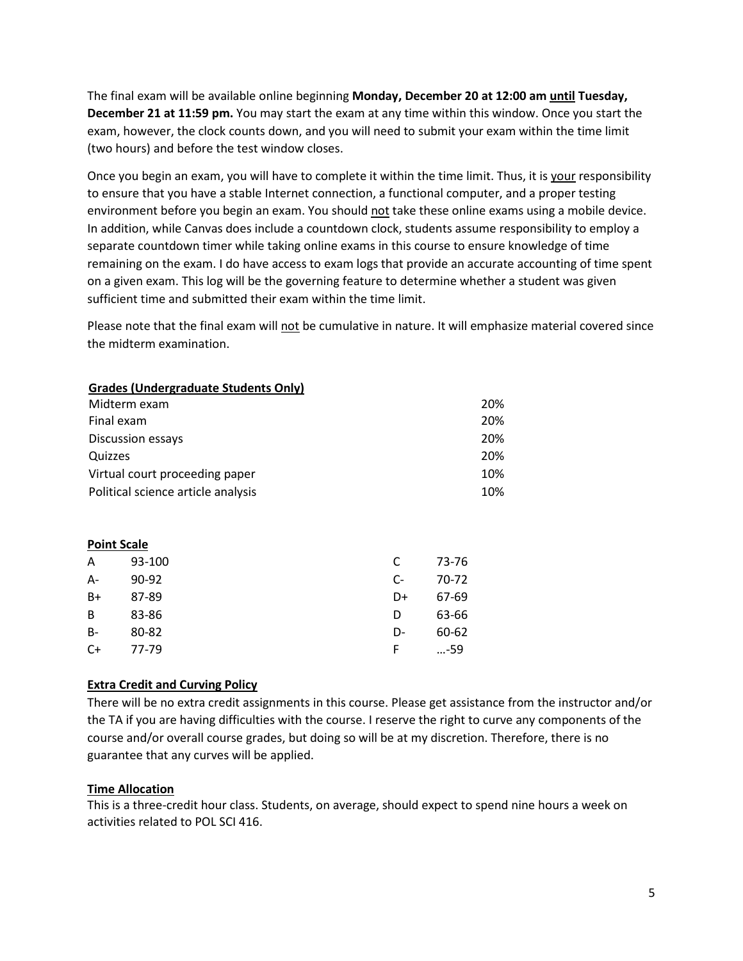The final exam will be available online beginning **Monday, December 20 at 12:00 am until Tuesday, December 21 at 11:59 pm.** You may start the exam at any time within this window. Once you start the exam, however, the clock counts down, and you will need to submit your exam within the time limit (two hours) and before the test window closes.

Once you begin an exam, you will have to complete it within the time limit. Thus, it is your responsibility to ensure that you have a stable Internet connection, a functional computer, and a proper testing environment before you begin an exam. You should not take these online exams using a mobile device. In addition, while Canvas does include a countdown clock, students assume responsibility to employ a separate countdown timer while taking online exams in this course to ensure knowledge of time remaining on the exam. I do have access to exam logs that provide an accurate accounting of time spent on a given exam. This log will be the governing feature to determine whether a student was given sufficient time and submitted their exam within the time limit.

Please note that the final exam will not be cumulative in nature. It will emphasize material covered since the midterm examination.

| <b>Grades (Undergraduate Students Only)</b> |        |      |       |     |
|---------------------------------------------|--------|------|-------|-----|
| Midterm exam                                |        |      |       | 20% |
| Final exam                                  |        |      |       | 20% |
| Discussion essays                           |        |      |       | 20% |
| Quizzes                                     |        |      |       | 20% |
| Virtual court proceeding paper              |        |      |       | 10% |
| Political science article analysis          |        |      |       | 10% |
| <b>Point Scale</b>                          |        |      |       |     |
| A                                           | 93-100 | C    | 73-76 |     |
| A-                                          | 90-92  | $C-$ | 70-72 |     |
| B+                                          | 87-89  | D+   | 67-69 |     |
| B                                           | 83-86  | D    | 63-66 |     |
| B-                                          | 80-82  | D-   | 60-62 |     |
| $C+$                                        | 77-79  | F    | -59   |     |

### **Extra Credit and Curving Policy**

There will be no extra credit assignments in this course. Please get assistance from the instructor and/or the TA if you are having difficulties with the course. I reserve the right to curve any components of the course and/or overall course grades, but doing so will be at my discretion. Therefore, there is no guarantee that any curves will be applied.

### **Time Allocation**

This is a three-credit hour class. Students, on average, should expect to spend nine hours a week on activities related to POL SCI 416.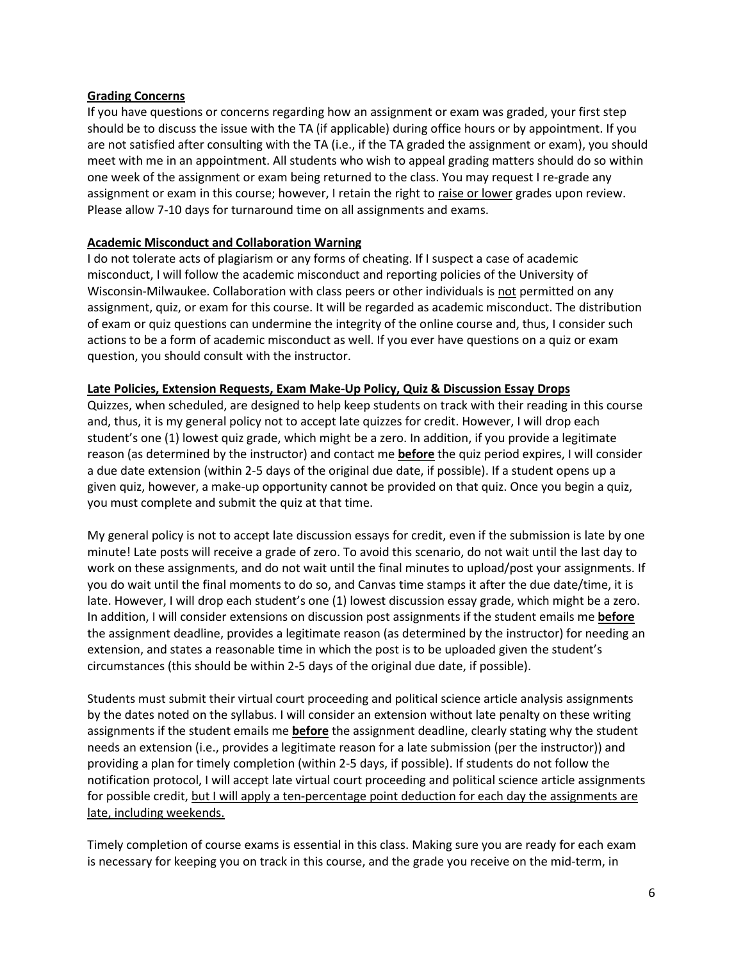### **Grading Concerns**

If you have questions or concerns regarding how an assignment or exam was graded, your first step should be to discuss the issue with the TA (if applicable) during office hours or by appointment. If you are not satisfied after consulting with the TA (i.e., if the TA graded the assignment or exam), you should meet with me in an appointment. All students who wish to appeal grading matters should do so within one week of the assignment or exam being returned to the class. You may request I re-grade any assignment or exam in this course; however, I retain the right to raise or lower grades upon review. Please allow 7-10 days for turnaround time on all assignments and exams.

#### **Academic Misconduct and Collaboration Warning**

I do not tolerate acts of plagiarism or any forms of cheating. If I suspect a case of academic misconduct, I will follow the academic misconduct and reporting policies of the University of Wisconsin-Milwaukee. Collaboration with class peers or other individuals is not permitted on any assignment, quiz, or exam for this course. It will be regarded as academic misconduct. The distribution of exam or quiz questions can undermine the integrity of the online course and, thus, I consider such actions to be a form of academic misconduct as well. If you ever have questions on a quiz or exam question, you should consult with the instructor.

#### **Late Policies, Extension Requests, Exam Make-Up Policy, Quiz & Discussion Essay Drops**

Quizzes, when scheduled, are designed to help keep students on track with their reading in this course and, thus, it is my general policy not to accept late quizzes for credit. However, I will drop each student's one (1) lowest quiz grade, which might be a zero. In addition, if you provide a legitimate reason (as determined by the instructor) and contact me **before** the quiz period expires, I will consider a due date extension (within 2-5 days of the original due date, if possible). If a student opens up a given quiz, however, a make-up opportunity cannot be provided on that quiz. Once you begin a quiz, you must complete and submit the quiz at that time.

My general policy is not to accept late discussion essays for credit, even if the submission is late by one minute! Late posts will receive a grade of zero. To avoid this scenario, do not wait until the last day to work on these assignments, and do not wait until the final minutes to upload/post your assignments. If you do wait until the final moments to do so, and Canvas time stamps it after the due date/time, it is late. However, I will drop each student's one (1) lowest discussion essay grade, which might be a zero. In addition, I will consider extensions on discussion post assignments if the student emails me **before**  the assignment deadline, provides a legitimate reason (as determined by the instructor) for needing an extension, and states a reasonable time in which the post is to be uploaded given the student's circumstances (this should be within 2-5 days of the original due date, if possible).

Students must submit their virtual court proceeding and political science article analysis assignments by the dates noted on the syllabus. I will consider an extension without late penalty on these writing assignments if the student emails me **before** the assignment deadline, clearly stating why the student needs an extension (i.e., provides a legitimate reason for a late submission (per the instructor)) and providing a plan for timely completion (within 2-5 days, if possible). If students do not follow the notification protocol, I will accept late virtual court proceeding and political science article assignments for possible credit, but I will apply a ten-percentage point deduction for each day the assignments are late, including weekends.

Timely completion of course exams is essential in this class. Making sure you are ready for each exam is necessary for keeping you on track in this course, and the grade you receive on the mid-term, in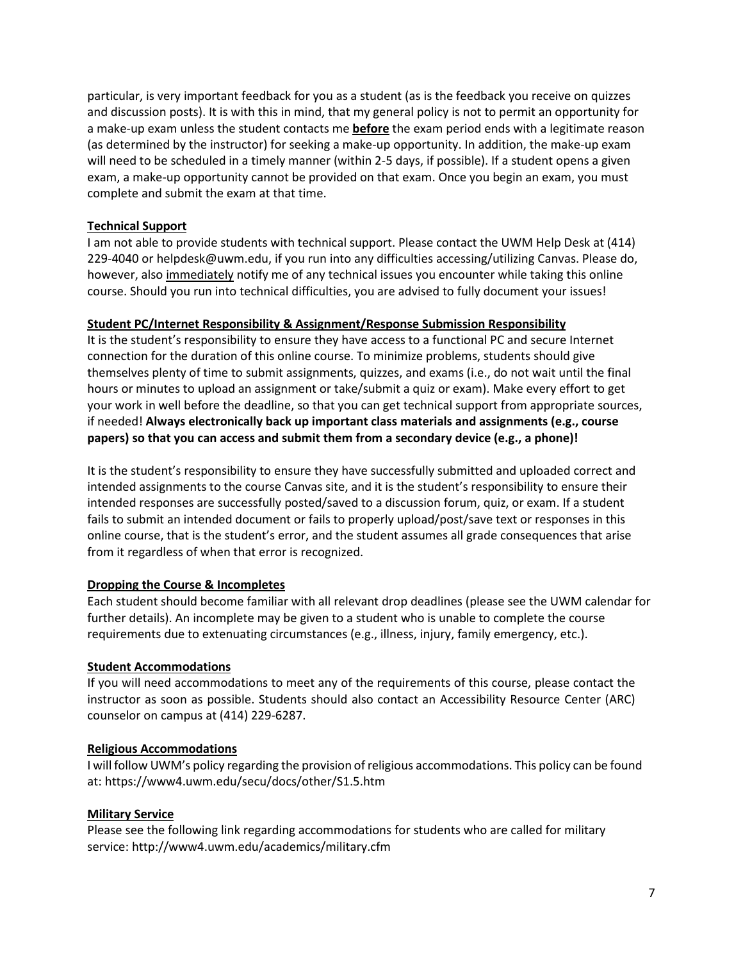particular, is very important feedback for you as a student (as is the feedback you receive on quizzes and discussion posts). It is with this in mind, that my general policy is not to permit an opportunity for a make-up exam unless the student contacts me **before** the exam period ends with a legitimate reason (as determined by the instructor) for seeking a make-up opportunity. In addition, the make-up exam will need to be scheduled in a timely manner (within 2-5 days, if possible). If a student opens a given exam, a make-up opportunity cannot be provided on that exam. Once you begin an exam, you must complete and submit the exam at that time.

### **Technical Support**

I am not able to provide students with technical support. Please contact the UWM Help Desk at (414) 229-4040 or helpdesk@uwm.edu, if you run into any difficulties accessing/utilizing Canvas. Please do, however, also immediately notify me of any technical issues you encounter while taking this online course. Should you run into technical difficulties, you are advised to fully document your issues!

### **Student PC/Internet Responsibility & Assignment/Response Submission Responsibility**

It is the student's responsibility to ensure they have access to a functional PC and secure Internet connection for the duration of this online course. To minimize problems, students should give themselves plenty of time to submit assignments, quizzes, and exams (i.e., do not wait until the final hours or minutes to upload an assignment or take/submit a quiz or exam). Make every effort to get your work in well before the deadline, so that you can get technical support from appropriate sources, if needed! **Always electronically back up important class materials and assignments (e.g., course papers) so that you can access and submit them from a secondary device (e.g., a phone)!** 

It is the student's responsibility to ensure they have successfully submitted and uploaded correct and intended assignments to the course Canvas site, and it is the student's responsibility to ensure their intended responses are successfully posted/saved to a discussion forum, quiz, or exam. If a student fails to submit an intended document or fails to properly upload/post/save text or responses in this online course, that is the student's error, and the student assumes all grade consequences that arise from it regardless of when that error is recognized.

### **Dropping the Course & Incompletes**

Each student should become familiar with all relevant drop deadlines (please see the UWM calendar for further details). An incomplete may be given to a student who is unable to complete the course requirements due to extenuating circumstances (e.g., illness, injury, family emergency, etc.).

### **Student Accommodations**

If you will need accommodations to meet any of the requirements of this course, please contact the instructor as soon as possible. Students should also contact an Accessibility Resource Center (ARC) counselor on campus at (414) 229-6287.

### **Religious Accommodations**

I will follow UWM's policy regarding the provision of religious accommodations. This policy can be found at: https://www4.uwm.edu/secu/docs/other/S1.5.htm

### **Military Service**

Please see the following link regarding accommodations for students who are called for military servi[ce: http://www4.uwm.edu/academics/military.cfm](http://www4.uwm.edu/academics/military.cfm)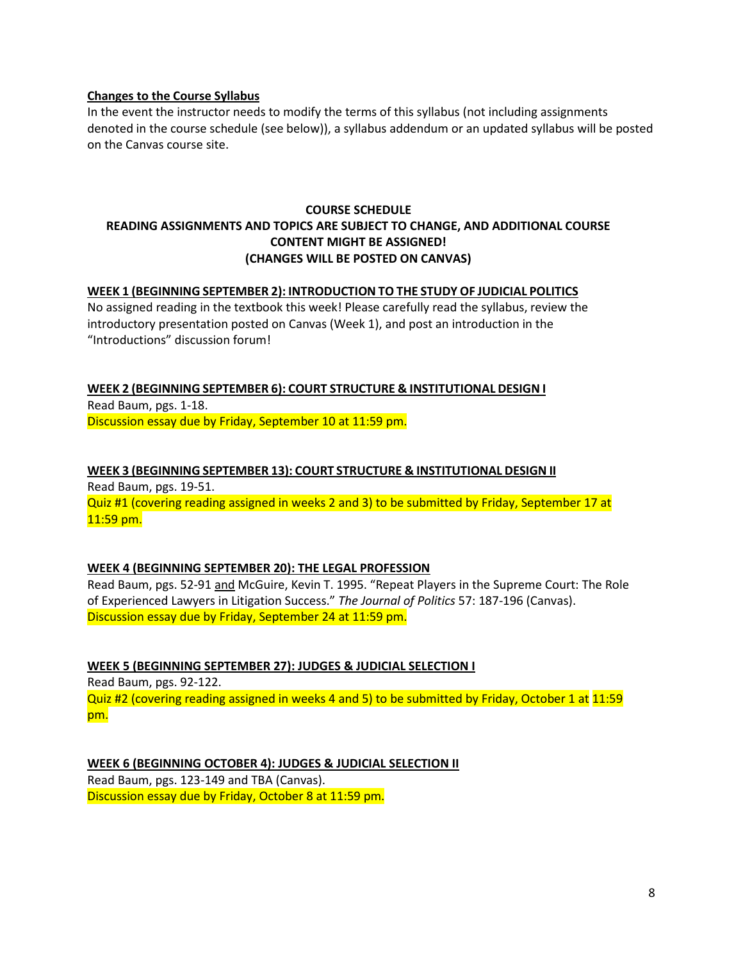#### **Changes to the Course Syllabus**

In the event the instructor needs to modify the terms of this syllabus (not including assignments denoted in the course schedule (see below)), a syllabus addendum or an updated syllabus will be posted on the Canvas course site.

### **COURSE SCHEDULE READING ASSIGNMENTS AND TOPICS ARE SUBJECT TO CHANGE, AND ADDITIONAL COURSE CONTENT MIGHT BE ASSIGNED! (CHANGES WILL BE POSTED ON CANVAS)**

#### **WEEK 1 (BEGINNING SEPTEMBER 2): INTRODUCTION TO THE STUDY OF JUDICIAL POLITICS**

No assigned reading in the textbook this week! Please carefully read the syllabus, review the introductory presentation posted on Canvas (Week 1), and post an introduction in the "Introductions" discussion forum!

**WEEK 2 (BEGINNING SEPTEMBER 6): COURT STRUCTURE & INSTITUTIONAL DESIGN I** Read Baum, pgs. 1-18. Discussion essay due by Friday, September 10 at 11:59 pm.

### **WEEK 3 (BEGINNING SEPTEMBER 13): COURT STRUCTURE & INSTITUTIONAL DESIGN II** Read Baum, pgs. 19-51. Quiz #1 (covering reading assigned in weeks 2 and 3) to be submitted by Friday, September 17 at 11:59 pm.

### **WEEK 4 (BEGINNING SEPTEMBER 20): THE LEGAL PROFESSION**

Read Baum, pgs. 52-91 and McGuire, Kevin T. 1995. "Repeat Players in the Supreme Court: The Role of Experienced Lawyers in Litigation Success." *The Journal of Politics* 57: 187-196 (Canvas). Discussion essay due by Friday, September 24 at 11:59 pm.

**WEEK 5 (BEGINNING SEPTEMBER 27): JUDGES & JUDICIAL SELECTION I**

Read Baum, pgs. 92-122. Quiz #2 (covering reading assigned in weeks 4 and 5) to be submitted by Friday, October 1 at 11:59 pm.

**WEEK 6 (BEGINNING OCTOBER 4): JUDGES & JUDICIAL SELECTION II** Read Baum, pgs. 123-149 and TBA (Canvas). Discussion essay due by Friday, October 8 at 11:59 pm.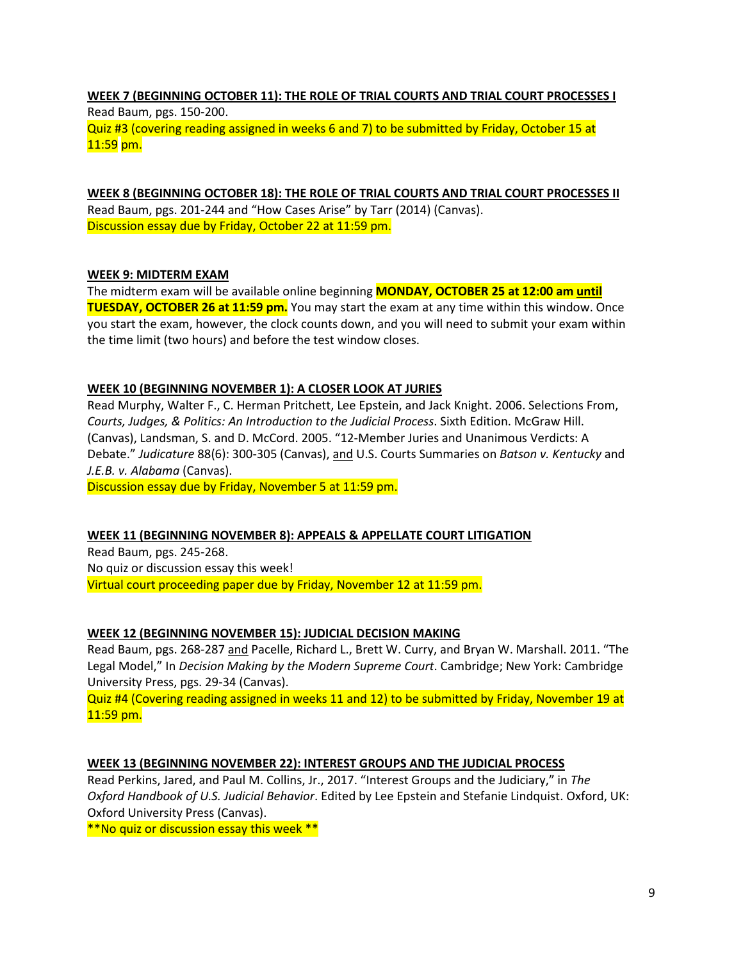## **WEEK 7 (BEGINNING OCTOBER 11): THE ROLE OF TRIAL COURTS AND TRIAL COURT PROCESSES I**

Read Baum, pgs. 150-200. Quiz #3 (covering reading assigned in weeks 6 and 7) to be submitted by Friday, October 15 at 11:59 pm.

**WEEK 8 (BEGINNING OCTOBER 18): THE ROLE OF TRIAL COURTS AND TRIAL COURT PROCESSES II** Read Baum, pgs. 201-244 and "How Cases Arise" by Tarr (2014) (Canvas). Discussion essay due by Friday, October 22 at 11:59 pm.

### **WEEK 9: MIDTERM EXAM**

The midterm exam will be available online beginning **MONDAY, OCTOBER 25 at 12:00 am until TUESDAY, OCTOBER 26 at 11:59 pm.** You may start the exam at any time within this window. Once you start the exam, however, the clock counts down, and you will need to submit your exam within the time limit (two hours) and before the test window closes.

### **WEEK 10 (BEGINNING NOVEMBER 1): A CLOSER LOOK AT JURIES**

Read Murphy, Walter F., C. Herman Pritchett, Lee Epstein, and Jack Knight. 2006. Selections From, *Courts, Judges, & Politics: An Introduction to the Judicial Process*. Sixth Edition. McGraw Hill. (Canvas), Landsman, S. and D. McCord. 2005. "12-Member Juries and Unanimous Verdicts: A Debate." *Judicature* 88(6): 300-305 (Canvas), and U.S. Courts Summaries on *Batson v. Kentucky* and *J.E.B. v. Alabama* (Canvas).

Discussion essay due by Friday, November 5 at 11:59 pm.

### **WEEK 11 (BEGINNING NOVEMBER 8): APPEALS & APPELLATE COURT LITIGATION**

Read Baum, pgs. 245-268. No quiz or discussion essay this week! Virtual court proceeding paper due by Friday, November 12 at 11:59 pm.

### **WEEK 12 (BEGINNING NOVEMBER 15): JUDICIAL DECISION MAKING**

Read Baum, pgs. 268-287 and Pacelle, Richard L., Brett W. Curry, and Bryan W. Marshall. 2011. "The Legal Model," In *Decision Making by the Modern Supreme Court*. Cambridge; New York: Cambridge University Press, pgs. 29-34 (Canvas).

Quiz #4 (Covering reading assigned in weeks 11 and 12) to be submitted by Friday, November 19 at 11:59 pm.

### **WEEK 13 (BEGINNING NOVEMBER 22): INTEREST GROUPS AND THE JUDICIAL PROCESS**

Read Perkins, Jared, and Paul M. Collins, Jr., 2017. "Interest Groups and the Judiciary," in *The Oxford Handbook of U.S. Judicial Behavior*. Edited by Lee Epstein and Stefanie Lindquist. Oxford, UK: Oxford University Press (Canvas).

\*\*No quiz or discussion essay this week \*\*